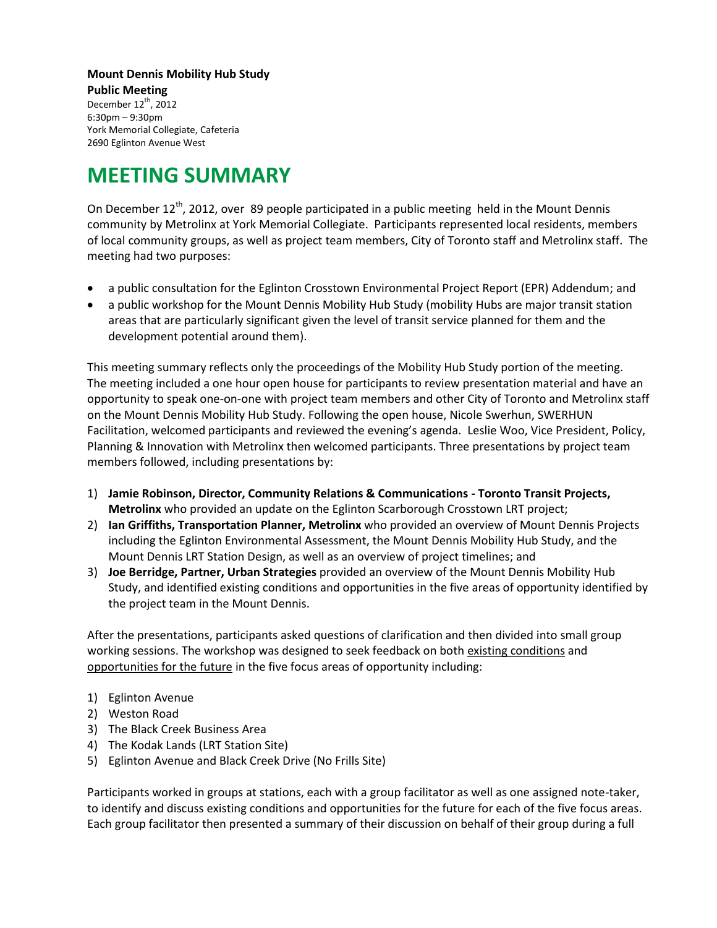#### **Mount Dennis Mobility Hub Study Public Meeting**

December  $12^{th}$ , 2012 6:30pm – 9:30pm York Memorial Collegiate, Cafeteria 2690 Eglinton Avenue West

# **MEETING SUMMARY**

On December 12<sup>th</sup>, 2012, over 89 people participated in a public meeting held in the Mount Dennis community by Metrolinx at York Memorial Collegiate. Participants represented local residents, members of local community groups, as well as project team members, City of Toronto staff and Metrolinx staff. The meeting had two purposes:

- a public consultation for the Eglinton Crosstown Environmental Project Report (EPR) Addendum; and
- a public workshop for the Mount Dennis Mobility Hub Study (mobility Hubs are major transit station areas that are particularly significant given the level of transit service planned for them and the development potential around them).

This meeting summary reflects only the proceedings of the Mobility Hub Study portion of the meeting. The meeting included a one hour open house for participants to review presentation material and have an opportunity to speak one-on-one with project team members and other City of Toronto and Metrolinx staff on the Mount Dennis Mobility Hub Study. Following the open house, Nicole Swerhun, SWERHUN Facilitation, welcomed participants and reviewed the evening's agenda. Leslie Woo, Vice President, Policy, Planning & Innovation with Metrolinx then welcomed participants. Three presentations by project team members followed, including presentations by:

- 1) **Jamie Robinson, Director, Community Relations & Communications - Toronto Transit Projects, Metrolinx** who provided an update on the Eglinton Scarborough Crosstown LRT project;
- 2) **Ian Griffiths, Transportation Planner, Metrolinx** who provided an overview of Mount Dennis Projects including the Eglinton Environmental Assessment, the Mount Dennis Mobility Hub Study, and the Mount Dennis LRT Station Design, as well as an overview of project timelines; and
- 3) **Joe Berridge, Partner, Urban Strategies** provided an overview of the Mount Dennis Mobility Hub Study, and identified existing conditions and opportunities in the five areas of opportunity identified by the project team in the Mount Dennis.

After the presentations, participants asked questions of clarification and then divided into small group working sessions. The workshop was designed to seek feedback on both existing conditions and opportunities for the future in the five focus areas of opportunity including:

- 1) Eglinton Avenue
- 2) Weston Road
- 3) The Black Creek Business Area
- 4) The Kodak Lands (LRT Station Site)
- 5) Eglinton Avenue and Black Creek Drive (No Frills Site)

Participants worked in groups at stations, each with a group facilitator as well as one assigned note-taker, to identify and discuss existing conditions and opportunities for the future for each of the five focus areas. Each group facilitator then presented a summary of their discussion on behalf of their group during a full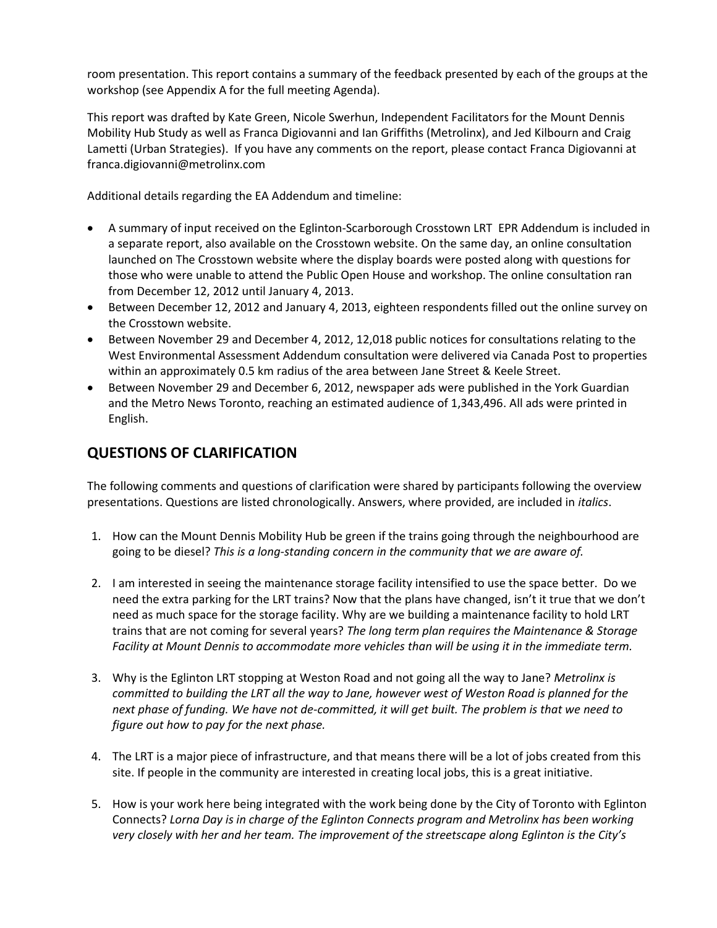room presentation. This report contains a summary of the feedback presented by each of the groups at the workshop (see Appendix A for the full meeting Agenda).

This report was drafted by Kate Green, Nicole Swerhun, Independent Facilitators for the Mount Dennis Mobility Hub Study as well as Franca Digiovanni and Ian Griffiths (Metrolinx), and Jed Kilbourn and Craig Lametti (Urban Strategies). If you have any comments on the report, please contact Franca Digiovanni at franca.digiovanni@metrolinx.com

Additional details regarding the EA Addendum and timeline:

- A summary of input received on the Eglinton-Scarborough Crosstown LRT EPR Addendum is included in a separate report, also available on the Crosstown website. On the same day, an online consultation launched on The Crosstown website where the display boards were posted along with questions for those who were unable to attend the Public Open House and workshop. The online consultation ran from December 12, 2012 until January 4, 2013.
- Between December 12, 2012 and January 4, 2013, eighteen respondents filled out the online survey on the Crosstown website.
- Between November 29 and December 4, 2012, 12,018 public notices for consultations relating to the West Environmental Assessment Addendum consultation were delivered via Canada Post to properties within an approximately 0.5 km radius of the area between Jane Street & Keele Street.
- Between November 29 and December 6, 2012, newspaper ads were published in the York Guardian and the Metro News Toronto, reaching an estimated audience of 1,343,496. All ads were printed in English.

### **QUESTIONS OF CLARIFICATION**

The following comments and questions of clarification were shared by participants following the overview presentations. Questions are listed chronologically. Answers, where provided, are included in *italics*.

- 1. How can the Mount Dennis Mobility Hub be green if the trains going through the neighbourhood are going to be diesel? *This is a long-standing concern in the community that we are aware of.*
- 2. I am interested in seeing the maintenance storage facility intensified to use the space better. Do we need the extra parking for the LRT trains? Now that the plans have changed, isn't it true that we don't need as much space for the storage facility. Why are we building a maintenance facility to hold LRT trains that are not coming for several years? *The long term plan requires the Maintenance & Storage Facility at Mount Dennis to accommodate more vehicles than will be using it in the immediate term.*
- 3. Why is the Eglinton LRT stopping at Weston Road and not going all the way to Jane? *Metrolinx is committed to building the LRT all the way to Jane, however west of Weston Road is planned for the next phase of funding. We have not de-committed, it will get built. The problem is that we need to figure out how to pay for the next phase.*
- 4. The LRT is a major piece of infrastructure, and that means there will be a lot of jobs created from this site. If people in the community are interested in creating local jobs, this is a great initiative.
- 5. How is your work here being integrated with the work being done by the City of Toronto with Eglinton Connects? *Lorna Day is in charge of the Eglinton Connects program and Metrolinx has been working very closely with her and her team. The improvement of the streetscape along Eglinton is the City's*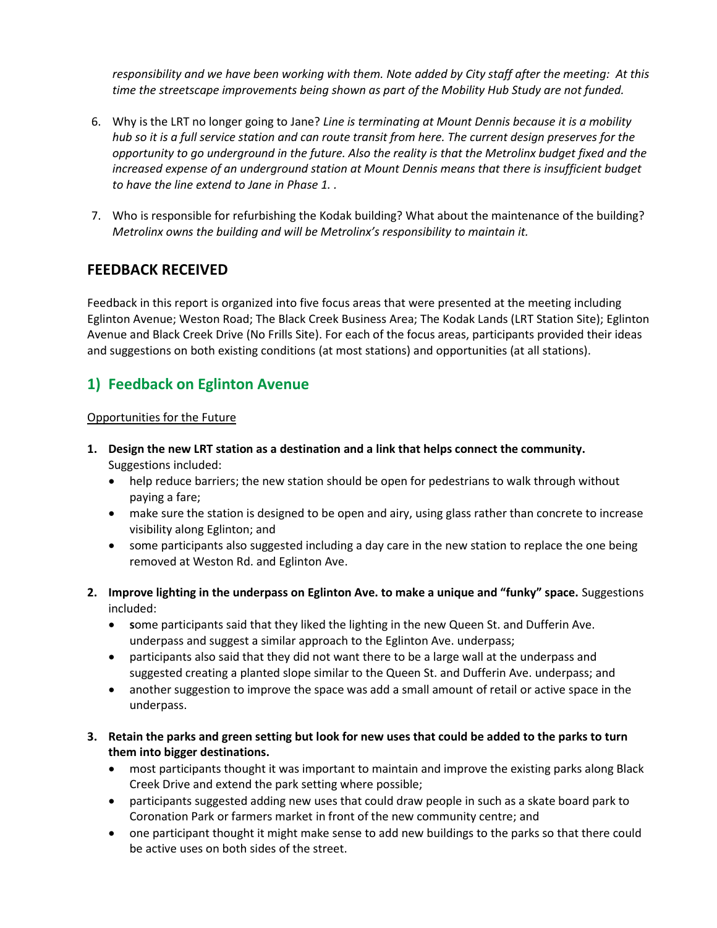*responsibility and we have been working with them. Note added by City staff after the meeting: At this time the streetscape improvements being shown as part of the Mobility Hub Study are not funded.*

- 6. Why is the LRT no longer going to Jane? *Line is terminating at Mount Dennis because it is a mobility hub so it is a full service station and can route transit from here. The current design preserves for the opportunity to go underground in the future. Also the reality is that the Metrolinx budget fixed and the increased expense of an underground station at Mount Dennis means that there is insufficient budget to have the line extend to Jane in Phase 1. .*
- 7. Who is responsible for refurbishing the Kodak building? What about the maintenance of the building? *Metrolinx owns the building and will be Metrolinx's responsibility to maintain it.*

### **FEEDBACK RECEIVED**

Feedback in this report is organized into five focus areas that were presented at the meeting including Eglinton Avenue; Weston Road; The Black Creek Business Area; The Kodak Lands (LRT Station Site); Eglinton Avenue and Black Creek Drive (No Frills Site). For each of the focus areas, participants provided their ideas and suggestions on both existing conditions (at most stations) and opportunities (at all stations).

### **1) Feedback on Eglinton Avenue**

- **1. Design the new LRT station as a destination and a link that helps connect the community.**  Suggestions included:
	- help reduce barriers; the new station should be open for pedestrians to walk through without paying a fare;
	- make sure the station is designed to be open and airy, using glass rather than concrete to increase visibility along Eglinton; and
	- some participants also suggested including a day care in the new station to replace the one being removed at Weston Rd. and Eglinton Ave.
- **2. Improve lighting in the underpass on Eglinton Ave. to make a unique and "funky" space.** Suggestions included:
	- **s**ome participants said that they liked the lighting in the new Queen St. and Dufferin Ave. underpass and suggest a similar approach to the Eglinton Ave. underpass;
	- participants also said that they did not want there to be a large wall at the underpass and suggested creating a planted slope similar to the Queen St. and Dufferin Ave. underpass; and
	- another suggestion to improve the space was add a small amount of retail or active space in the underpass.
- **3. Retain the parks and green setting but look for new uses that could be added to the parks to turn them into bigger destinations.** 
	- most participants thought it was important to maintain and improve the existing parks along Black Creek Drive and extend the park setting where possible;
	- participants suggested adding new uses that could draw people in such as a skate board park to Coronation Park or farmers market in front of the new community centre; and
	- one participant thought it might make sense to add new buildings to the parks so that there could be active uses on both sides of the street.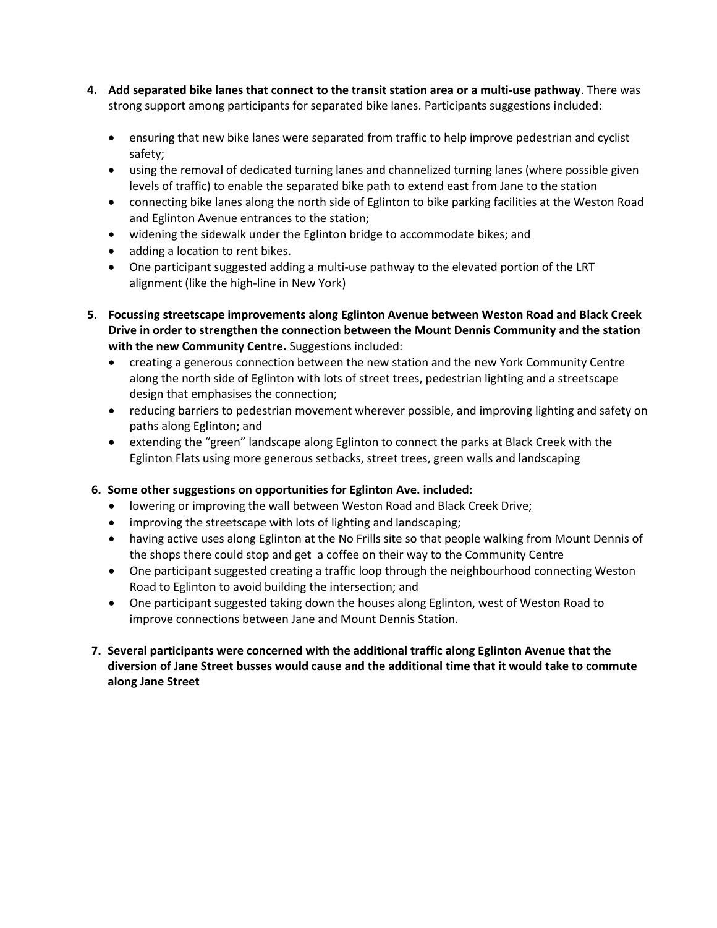- **4. Add separated bike lanes that connect to the transit station area or a multi-use pathway**. There was strong support among participants for separated bike lanes. Participants suggestions included:
	- ensuring that new bike lanes were separated from traffic to help improve pedestrian and cyclist safety;
	- using the removal of dedicated turning lanes and channelized turning lanes (where possible given levels of traffic) to enable the separated bike path to extend east from Jane to the station
	- connecting bike lanes along the north side of Eglinton to bike parking facilities at the Weston Road and Eglinton Avenue entrances to the station;
	- widening the sidewalk under the Eglinton bridge to accommodate bikes; and
	- adding a location to rent bikes.
	- One participant suggested adding a multi-use pathway to the elevated portion of the LRT alignment (like the high-line in New York)
- **5. Focussing streetscape improvements along Eglinton Avenue between Weston Road and Black Creek Drive in order to strengthen the connection between the Mount Dennis Community and the station with the new Community Centre.** Suggestions included:
	- creating a generous connection between the new station and the new York Community Centre along the north side of Eglinton with lots of street trees, pedestrian lighting and a streetscape design that emphasises the connection;
	- reducing barriers to pedestrian movement wherever possible, and improving lighting and safety on paths along Eglinton; and
	- extending the "green" landscape along Eglinton to connect the parks at Black Creek with the Eglinton Flats using more generous setbacks, street trees, green walls and landscaping
- **6. Some other suggestions on opportunities for Eglinton Ave. included:**
	- lowering or improving the wall between Weston Road and Black Creek Drive;
	- improving the streetscape with lots of lighting and landscaping;
	- having active uses along Eglinton at the No Frills site so that people walking from Mount Dennis of the shops there could stop and get a coffee on their way to the Community Centre
	- One participant suggested creating a traffic loop through the neighbourhood connecting Weston Road to Eglinton to avoid building the intersection; and
	- One participant suggested taking down the houses along Eglinton, west of Weston Road to improve connections between Jane and Mount Dennis Station.
- **7. Several participants were concerned with the additional traffic along Eglinton Avenue that the diversion of Jane Street busses would cause and the additional time that it would take to commute along Jane Street**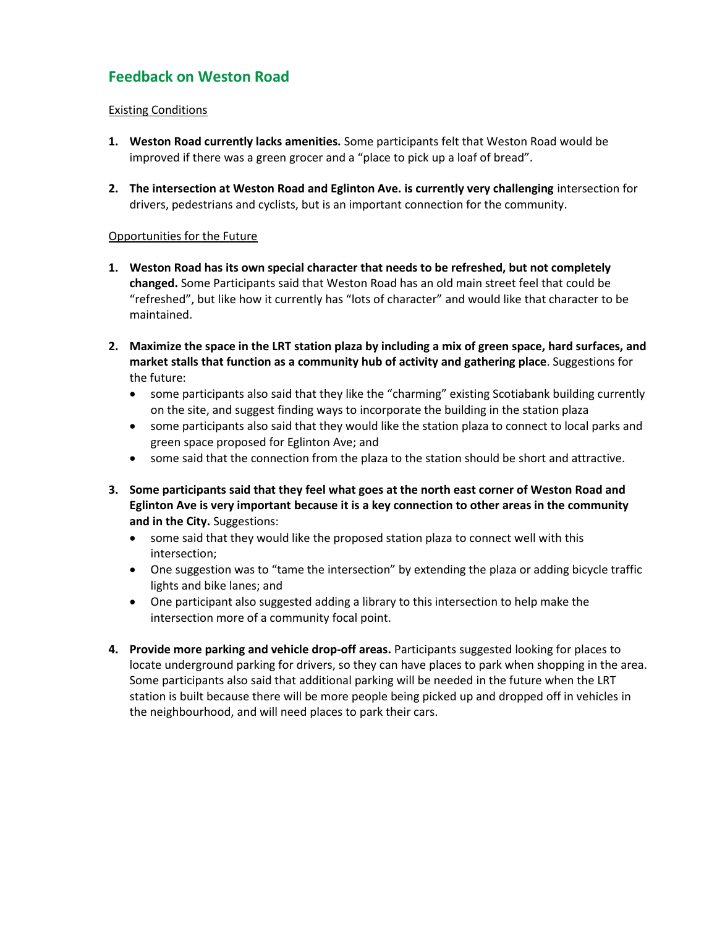### **Feedback on Weston Road**

### Existing Conditions

- **1. Weston Road currently lacks amenities.** Some participants felt that Weston Road would be improved if there was a green grocer and a "place to pick up a loaf of bread".
- **2. The intersection at Weston Road and Eglinton Ave. is currently very challenging** intersection for drivers, pedestrians and cyclists, but is an important connection for the community.

- **1. Weston Road has its own special character that needs to be refreshed, but not completely changed.** Some Participants said that Weston Road has an old main street feel that could be "refreshed", but like how it currently has "lots of character" and would like that character to be maintained.
- **2. Maximize the space in the LRT station plaza by including a mix of green space, hard surfaces, and market stalls that function as a community hub of activity and gathering place**. Suggestions for the future:
	- some participants also said that they like the "charming" existing Scotiabank building currently on the site, and suggest finding ways to incorporate the building in the station plaza
	- some participants also said that they would like the station plaza to connect to local parks and green space proposed for Eglinton Ave; and
	- some said that the connection from the plaza to the station should be short and attractive.
- **3. Some participants said that they feel what goes at the north east corner of Weston Road and Eglinton Ave is very important because it is a key connection to other areas in the community and in the City.** Suggestions:
	- some said that they would like the proposed station plaza to connect well with this intersection;
	- One suggestion was to "tame the intersection" by extending the plaza or adding bicycle traffic lights and bike lanes; and
	- One participant also suggested adding a library to this intersection to help make the intersection more of a community focal point.
- **4. Provide more parking and vehicle drop-off areas.** Participants suggested looking for places to locate underground parking for drivers, so they can have places to park when shopping in the area. Some participants also said that additional parking will be needed in the future when the LRT station is built because there will be more people being picked up and dropped off in vehicles in the neighbourhood, and will need places to park their cars.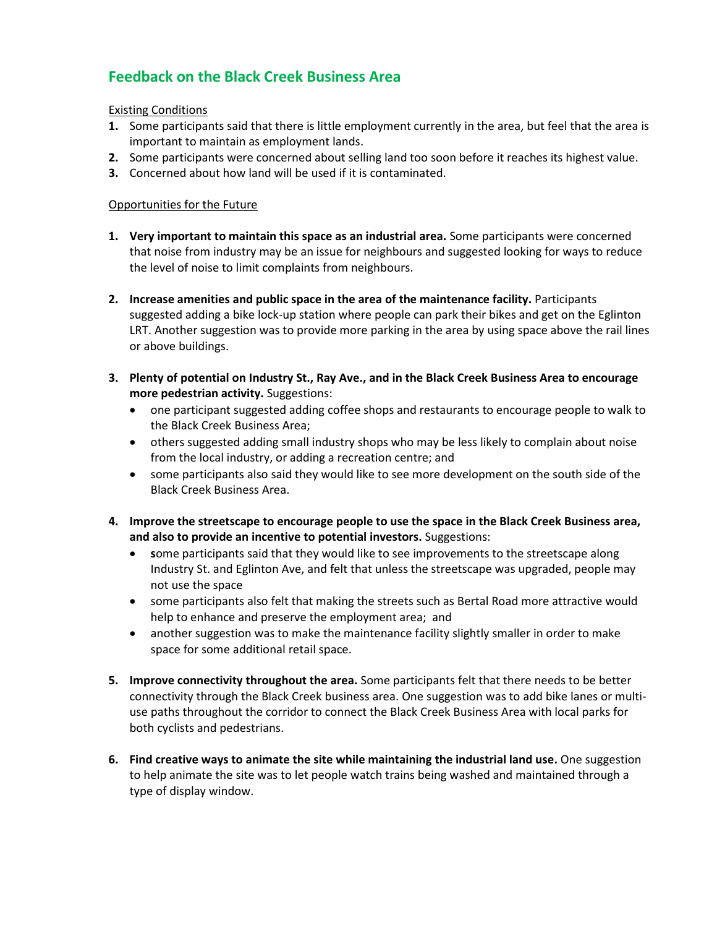### **Feedback on the Black Creek Business Area**

Existing Conditions

- **1.** Some participants said that there is little employment currently in the area, but feel that the area is important to maintain as employment lands.
- **2.** Some participants were concerned about selling land too soon before it reaches its highest value.
- **3.** Concerned about how land will be used if it is contaminated.

- **1. Very important to maintain this space as an industrial area.** Some participants were concerned that noise from industry may be an issue for neighbours and suggested looking for ways to reduce the level of noise to limit complaints from neighbours.
- **2. Increase amenities and public space in the area of the maintenance facility.** Participants suggested adding a bike lock-up station where people can park their bikes and get on the Eglinton LRT. Another suggestion was to provide more parking in the area by using space above the rail lines or above buildings.
- **3. Plenty of potential on Industry St., Ray Ave., and in the Black Creek Business Area to encourage more pedestrian activity.** Suggestions:
	- one participant suggested adding coffee shops and restaurants to encourage people to walk to the Black Creek Business Area;
	- others suggested adding small industry shops who may be less likely to complain about noise from the local industry, or adding a recreation centre; and
	- some participants also said they would like to see more development on the south side of the Black Creek Business Area.
- **4. Improve the streetscape to encourage people to use the space in the Black Creek Business area, and also to provide an incentive to potential investors.** Suggestions:
	- **s**ome participants said that they would like to see improvements to the streetscape along Industry St. and Eglinton Ave, and felt that unless the streetscape was upgraded, people may not use the space
	- some participants also felt that making the streets such as Bertal Road more attractive would help to enhance and preserve the employment area; and
	- another suggestion was to make the maintenance facility slightly smaller in order to make space for some additional retail space.
- **5. Improve connectivity throughout the area.** Some participants felt that there needs to be better connectivity through the Black Creek business area. One suggestion was to add bike lanes or multiuse paths throughout the corridor to connect the Black Creek Business Area with local parks for both cyclists and pedestrians.
- **6. Find creative ways to animate the site while maintaining the industrial land use.** One suggestion to help animate the site was to let people watch trains being washed and maintained through a type of display window.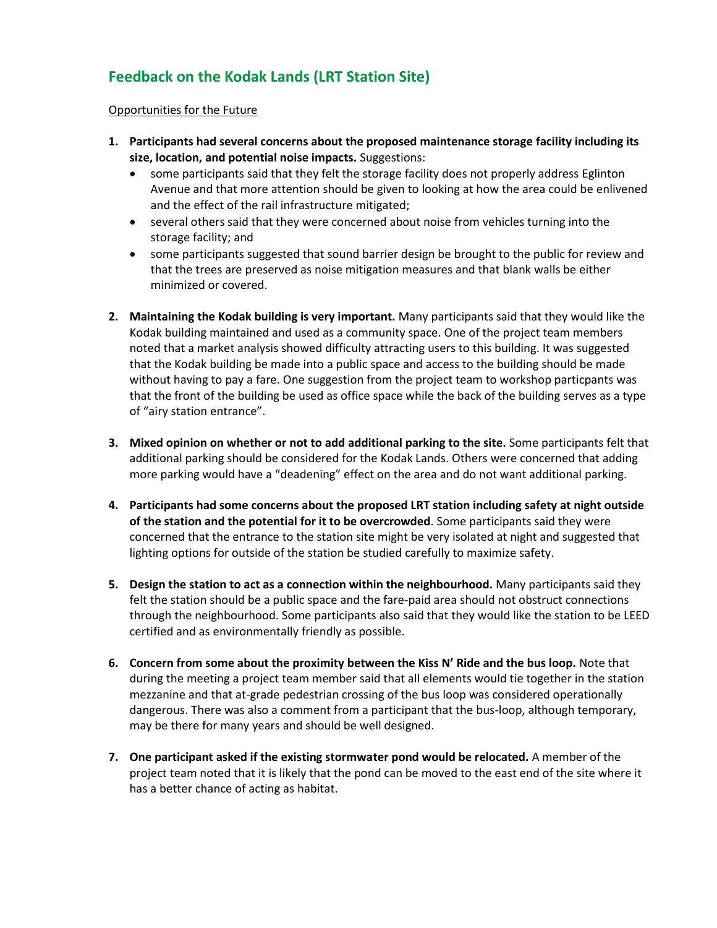# **Feedback on the Kodak Lands (LRT Station Site)**

- **1. Participants had several concerns about the proposed maintenance storage facility including its size, location, and potential noise impacts.** Suggestions:
	- some participants said that they felt the storage facility does not properly address Eglinton Avenue and that more attention should be given to looking at how the area could be enlivened and the effect of the rail infrastructure mitigated;
	- several others said that they were concerned about noise from vehicles turning into the storage facility; and
	- some participants suggested that sound barrier design be brought to the public for review and that the trees are preserved as noise mitigation measures and that blank walls be either minimized or covered.
- **2. Maintaining the Kodak building is very important.** Many participants said that they would like the Kodak building maintained and used as a community space. One of the project team members noted that a market analysis showed difficulty attracting users to this building. It was suggested that the Kodak building be made into a public space and access to the building should be made without having to pay a fare. One suggestion from the project team to workshop particpants was that the front of the building be used as office space while the back of the building serves as a type of "airy station entrance".
- **3. Mixed opinion on whether or not to add additional parking to the site.** Some participants felt that additional parking should be considered for the Kodak Lands. Others were concerned that adding more parking would have a "deadening" effect on the area and do not want additional parking.
- **4. Participants had some concerns about the proposed LRT station including safety at night outside of the station and the potential for it to be overcrowded**. Some participants said they were concerned that the entrance to the station site might be very isolated at night and suggested that lighting options for outside of the station be studied carefully to maximize safety.
- **5. Design the station to act as a connection within the neighbourhood.** Many participants said they felt the station should be a public space and the fare-paid area should not obstruct connections through the neighbourhood. Some participants also said that they would like the station to be LEED certified and as environmentally friendly as possible.
- **6. Concern from some about the proximity between the Kiss N' Ride and the bus loop.** Note that during the meeting a project team member said that all elements would tie together in the station mezzanine and that at-grade pedestrian crossing of the bus loop was considered operationally dangerous. There was also a comment from a participant that the bus-loop, although temporary, may be there for many years and should be well designed.
- **7. One participant asked if the existing stormwater pond would be relocated.** A member of the project team noted that it is likely that the pond can be moved to the east end of the site where it has a better chance of acting as habitat.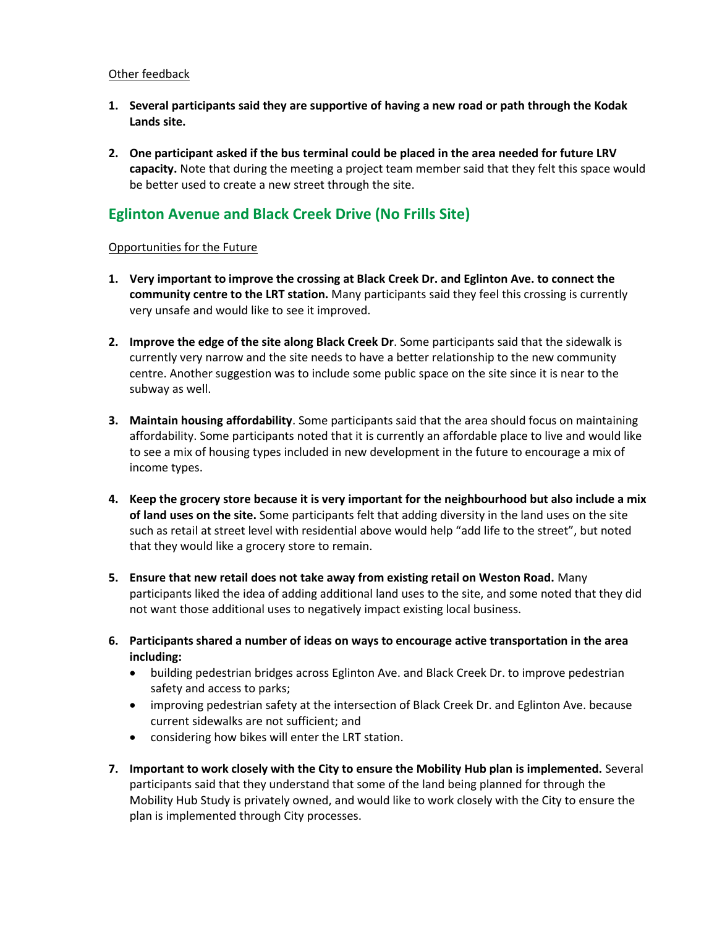### Other feedback

- **1. Several participants said they are supportive of having a new road or path through the Kodak Lands site.**
- **2. One participant asked if the bus terminal could be placed in the area needed for future LRV capacity.** Note that during the meeting a project team member said that they felt this space would be better used to create a new street through the site.

### **Eglinton Avenue and Black Creek Drive (No Frills Site)**

- **1. Very important to improve the crossing at Black Creek Dr. and Eglinton Ave. to connect the community centre to the LRT station.** Many participants said they feel this crossing is currently very unsafe and would like to see it improved.
- **2. Improve the edge of the site along Black Creek Dr**. Some participants said that the sidewalk is currently very narrow and the site needs to have a better relationship to the new community centre. Another suggestion was to include some public space on the site since it is near to the subway as well.
- **3. Maintain housing affordability**. Some participants said that the area should focus on maintaining affordability. Some participants noted that it is currently an affordable place to live and would like to see a mix of housing types included in new development in the future to encourage a mix of income types.
- **4. Keep the grocery store because it is very important for the neighbourhood but also include a mix of land uses on the site.** Some participants felt that adding diversity in the land uses on the site such as retail at street level with residential above would help "add life to the street", but noted that they would like a grocery store to remain.
- **5. Ensure that new retail does not take away from existing retail on Weston Road.** Many participants liked the idea of adding additional land uses to the site, and some noted that they did not want those additional uses to negatively impact existing local business.
- **6. Participants shared a number of ideas on ways to encourage active transportation in the area including:**
	- building pedestrian bridges across Eglinton Ave. and Black Creek Dr. to improve pedestrian safety and access to parks;
	- improving pedestrian safety at the intersection of Black Creek Dr. and Eglinton Ave. because current sidewalks are not sufficient; and
	- considering how bikes will enter the LRT station.
- **7. Important to work closely with the City to ensure the Mobility Hub plan is implemented.** Several participants said that they understand that some of the land being planned for through the Mobility Hub Study is privately owned, and would like to work closely with the City to ensure the plan is implemented through City processes.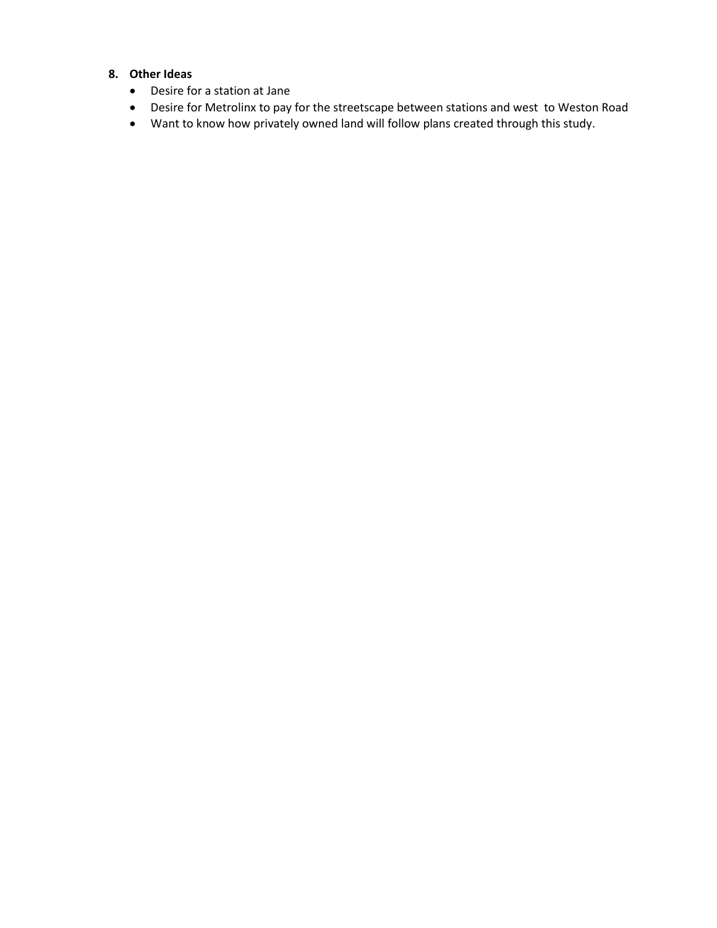### **8. Other Ideas**

- Desire for a station at Jane
- Desire for Metrolinx to pay for the streetscape between stations and west to Weston Road
- Want to know how privately owned land will follow plans created through this study.